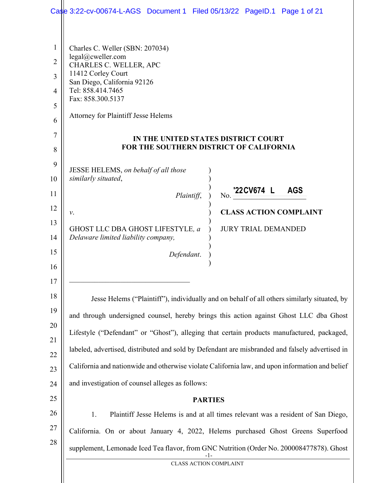|                | Case 3:22-cv-00674-L-AGS Document 1 Filed 05/13/22 PageID.1 Page 1 of 21                        |  |
|----------------|-------------------------------------------------------------------------------------------------|--|
|                |                                                                                                 |  |
| $\mathbf{1}$   | Charles C. Weller (SBN: 207034)                                                                 |  |
| $\overline{2}$ | legal@cweller.com<br>CHARLES C. WELLER, APC                                                     |  |
| 3              | 11412 Corley Court<br>San Diego, California 92126                                               |  |
| $\overline{4}$ | Tel: 858.414.7465                                                                               |  |
| 5              | Fax: 858.300.5137                                                                               |  |
| 6              | Attorney for Plaintiff Jesse Helems                                                             |  |
| 7              | IN THE UNITED STATES DISTRICT COURT                                                             |  |
| 8              | FOR THE SOUTHERN DISTRICT OF CALIFORNIA                                                         |  |
| 9              | JESSE HELEMS, on behalf of all those                                                            |  |
| 10             | similarly situated,                                                                             |  |
| 11             | No. 22CV674 L<br><b>AGS</b><br>Plaintiff,                                                       |  |
| 12             | <b>CLASS ACTION COMPLAINT</b><br>ν.                                                             |  |
| 13             | GHOST LLC DBA GHOST LIFESTYLE, a<br><b>JURY TRIAL DEMANDED</b>                                  |  |
| 14             | Delaware limited liability company,                                                             |  |
| 15             | Defendant.                                                                                      |  |
| 16             |                                                                                                 |  |
| 17             |                                                                                                 |  |
| 18             | Jesse Helems ("Plaintiff"), individually and on behalf of all others similarly situated, by     |  |
| 19             | and through undersigned counsel, hereby brings this action against Ghost LLC dba Ghost          |  |
| 20<br>21       | Lifestyle ("Defendant" or "Ghost"), alleging that certain products manufactured, packaged,      |  |
| 22             | labeled, advertised, distributed and sold by Defendant are misbranded and falsely advertised in |  |
| 23             | California and nationwide and otherwise violate California law, and upon information and belief |  |
| 24             | and investigation of counsel alleges as follows:                                                |  |
| 25             | <b>PARTIES</b>                                                                                  |  |
| 26             | Plaintiff Jesse Helems is and at all times relevant was a resident of San Diego,<br>1.          |  |
| 27             | California. On or about January 4, 2022, Helems purchased Ghost Greens Superfood                |  |
| 28             | supplement, Lemonade Iced Tea flavor, from GNC Nutrition (Order No. 200008477878). Ghost        |  |
|                | <b>CLASS ACTION COMPLAINT</b>                                                                   |  |
|                |                                                                                                 |  |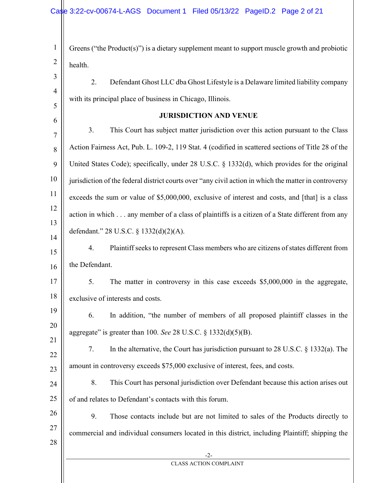| $\mathbf{1}$   | Greens ("the $Product(s)$ ") is a dietary supplement meant to support muscle growth and probiotic     |
|----------------|-------------------------------------------------------------------------------------------------------|
| $\overline{2}$ | health.                                                                                               |
| 3              | 2.<br>Defendant Ghost LLC dba Ghost Lifestyle is a Delaware limited liability company                 |
| $\overline{4}$ | with its principal place of business in Chicago, Illinois.                                            |
| 5              | <b>JURISDICTION AND VENUE</b>                                                                         |
| 6              | 3.<br>This Court has subject matter jurisdiction over this action pursuant to the Class               |
| $\overline{7}$ | Action Fairness Act, Pub. L. 109-2, 119 Stat. 4 (codified in scattered sections of Title 28 of the    |
| 8              | United States Code); specifically, under 28 U.S.C. § 1332(d), which provides for the original         |
| 9<br>10        |                                                                                                       |
| 11             | jurisdiction of the federal district courts over "any civil action in which the matter in controversy |
| 12             | exceeds the sum or value of \$5,000,000, exclusive of interest and costs, and [that] is a class       |
| 13             | action in which any member of a class of plaintiffs is a citizen of a State different from any        |
| 14             | defendant." 28 U.S.C. § 1332(d)(2)(A).                                                                |
| 15             | Plaintiff seeks to represent Class members who are citizens of states different from<br>4.            |
| 16             | the Defendant.                                                                                        |
| 17             | 5.<br>The matter in controversy in this case exceeds $$5,000,000$ in the aggregate,                   |
| 18             | exclusive of interests and costs.                                                                     |
| 19             | 6. In addition, "the number of members of all proposed plaintiff classes in the                       |
| 20             | aggregate" is greater than 100. See 28 U.S.C. § $1332(d)(5)(B)$ .                                     |
| 21             | In the alternative, the Court has jurisdiction pursuant to 28 U.S.C. $\S$ 1332(a). The<br>7.          |
| 22<br>23       | amount in controversy exceeds \$75,000 exclusive of interest, fees, and costs.                        |
| 24             | This Court has personal jurisdiction over Defendant because this action arises out<br>8.              |
| 25             | of and relates to Defendant's contacts with this forum.                                               |
| 26             | 9.<br>Those contacts include but are not limited to sales of the Products directly to                 |
| 27             | commercial and individual consumers located in this district, including Plaintiff; shipping the       |
| 28             |                                                                                                       |
|                | $-2-$<br><b>CLASS ACTION COMPLAINT</b>                                                                |
|                |                                                                                                       |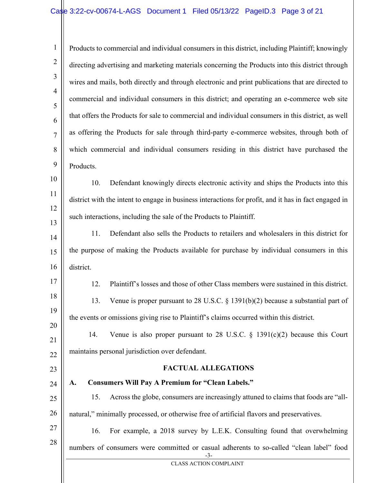1 2 3 4 5 6 7 8 9 10 Products to commercial and individual consumers in this district, including Plaintiff; knowingly directing advertising and marketing materials concerning the Products into this district through wires and mails, both directly and through electronic and print publications that are directed to commercial and individual consumers in this district; and operating an e-commerce web site that offers the Products for sale to commercial and individual consumers in this district, as well as offering the Products for sale through third-party e-commerce websites, through both of which commercial and individual consumers residing in this district have purchased the Products.

11 12 13 10. Defendant knowingly directs electronic activity and ships the Products into this district with the intent to engage in business interactions for profit, and it has in fact engaged in such interactions, including the sale of the Products to Plaintiff.

14 15 16 11. Defendant also sells the Products to retailers and wholesalers in this district for the purpose of making the Products available for purchase by individual consumers in this district.

17 18

19

20

12. Plaintiff's losses and those of other Class members were sustained in this district. 13. Venue is proper pursuant to 28 U.S.C. § 1391(b)(2) because a substantial part of the events or omissions giving rise to Plaintiff's claims occurred within this district.

21 22 14. Venue is also proper pursuant to 28 U.S.C. § 1391(c)(2) because this Court maintains personal jurisdiction over defendant.

### 23

24

#### FACTUAL ALLEGATIONS

# A. Consumers Will Pay A Premium for "Clean Labels."

25 26 15. Across the globe, consumers are increasingly attuned to claims that foods are "allnatural," minimally processed, or otherwise free of artificial flavors and preservatives.

27 28

16. For example, a 2018 survey by L.E.K. Consulting found that overwhelming numbers of consumers were committed or casual adherents to so-called "clean label" food

> -3- CLASS ACTION COMPLAINT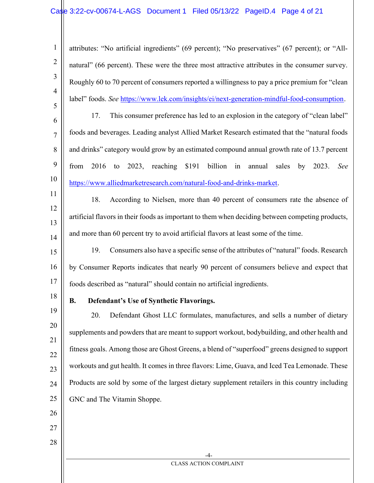$-4$ CLASS ACTION COMPLAINT 1 2 3 4 5 6 7 8 9 10 11 12 13 14 15 16 17 18 19 20 21 22 23 24 25 26 27 28 attributes: "No artificial ingredients" (69 percent); "No preservatives" (67 percent); or "Allnatural" (66 percent). These were the three most attractive attributes in the consumer survey. Roughly 60 to 70 percent of consumers reported a willingness to pay a price premium for "clean label" foods. See https://www.lek.com/insights/ei/next-generation-mindful-food-consumption. 17. This consumer preference has led to an explosion in the category of "clean label" foods and beverages. Leading analyst Allied Market Research estimated that the "natural foods and drinks" category would grow by an estimated compound annual growth rate of 13.7 percent from 2016 to 2023, reaching \$191 billion in annual sales by 2023. See https://www.alliedmarketresearch.com/natural-food-and-drinks-market. 18. According to Nielsen, more than 40 percent of consumers rate the absence of artificial flavors in their foods as important to them when deciding between competing products, and more than 60 percent try to avoid artificial flavors at least some of the time. 19. Consumers also have a specific sense of the attributes of "natural" foods. Research by Consumer Reports indicates that nearly 90 percent of consumers believe and expect that foods described as "natural" should contain no artificial ingredients. B. Defendant's Use of Synthetic Flavorings. 20. Defendant Ghost LLC formulates, manufactures, and sells a number of dietary supplements and powders that are meant to support workout, bodybuilding, and other health and fitness goals. Among those are Ghost Greens, a blend of "superfood" greens designed to support workouts and gut health. It comes in three flavors: Lime, Guava, and Iced Tea Lemonade. These Products are sold by some of the largest dietary supplement retailers in this country including GNC and The Vitamin Shoppe.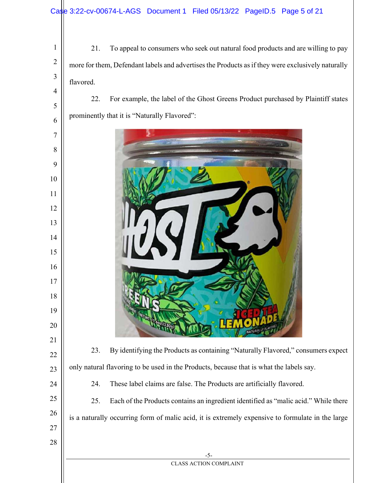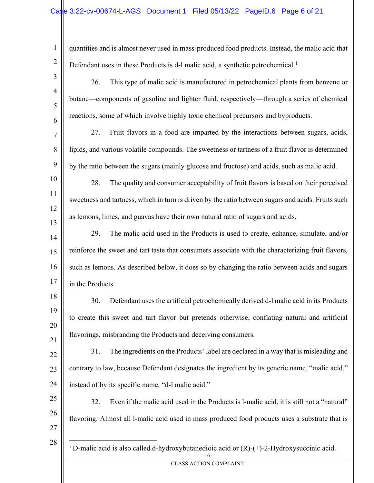quantities and is almost never used in mass-produced food products. Instead, the malic acid that Defendant uses in these Products is d-1 malic acid, a synthetic petrochemical.<sup>1</sup>

- 26. This type of malic acid is manufactured in petrochemical plants from benzene or butane—components of gasoline and lighter fluid, respectively—through a series of chemical reactions, some of which involve highly toxic chemical precursors and byproducts.
- 7 8 9 27. Fruit flavors in a food are imparted by the interactions between sugars, acids, lipids, and various volatile compounds. The sweetness or tartness of a fruit flavor is determined by the ratio between the sugars (mainly glucose and fructose) and acids, such as malic acid.
- 10 11 12 13 28. The quality and consumer acceptability of fruit flavors is based on their perceived sweetness and tartness, which in turn is driven by the ratio between sugars and acids. Fruits such as lemons, limes, and guavas have their own natural ratio of sugars and acids.
- 14 15 16 17 29. The malic acid used in the Products is used to create, enhance, simulate, and/or reinforce the sweet and tart taste that consumers associate with the characterizing fruit flavors, such as lemons. As described below, it does so by changing the ratio between acids and sugars in the Products.
- 18 19 20 21 30. Defendant uses the artificial petrochemically derived d-l malic acid in its Products to create this sweet and tart flavor but pretends otherwise, conflating natural and artificial flavorings, misbranding the Products and deceiving consumers.
- 22 23 24 31. The ingredients on the Products' label are declared in a way that is misleading and contrary to law, because Defendant designates the ingredient by its generic name, "malic acid," instead of by its specific name, "d-l malic acid."
- 25 26 27 32. Even if the malic acid used in the Products is l-malic acid, it is still not a "natural" flavoring. Almost all l-malic acid used in mass produced food products uses a substrate that is
- 28

1

2

3

4

5

6

| <sup>1</sup> D-malic acid is also called d-hydroxybutanedioic acid or $(R)-(+)$ -2-Hydroxysuccinic acid. |  |  |
|----------------------------------------------------------------------------------------------------------|--|--|
|                                                                                                          |  |  |

CLASS ACTION COMPLAINT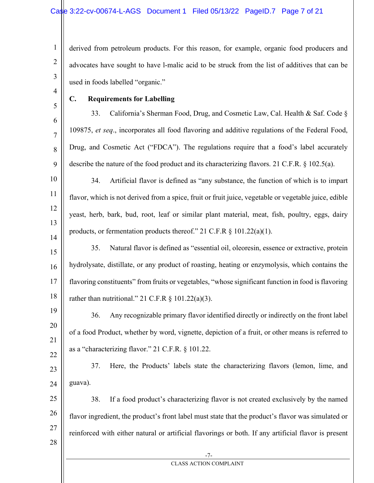derived from petroleum products. For this reason, for example, organic food producers and advocates have sought to have l-malic acid to be struck from the list of additives that can be used in foods labelled "organic."

4 5

6

7

8

9

1

2

3

# C. Requirements for Labelling

33. California's Sherman Food, Drug, and Cosmetic Law, Cal. Health & Saf. Code § 109875, et seq., incorporates all food flavoring and additive regulations of the Federal Food, Drug, and Cosmetic Act ("FDCA"). The regulations require that a food's label accurately describe the nature of the food product and its characterizing flavors. 21 C.F.R. § 102.5(a).

10 11 12 13 14 34. Artificial flavor is defined as "any substance, the function of which is to impart flavor, which is not derived from a spice, fruit or fruit juice, vegetable or vegetable juice, edible yeast, herb, bark, bud, root, leaf or similar plant material, meat, fish, poultry, eggs, dairy products, or fermentation products thereof." 21 C.F.R § 101.22(a)(1).

15 16 17 18 35. Natural flavor is defined as "essential oil, oleoresin, essence or extractive, protein hydrolysate, distillate, or any product of roasting, heating or enzymolysis, which contains the flavoring constituents" from fruits or vegetables, "whose significant function in food is flavoring rather than nutritional." 21 C.F.R  $\frac{1}{2}$  101.22(a)(3).

19 20 21 22 36. Any recognizable primary flavor identified directly or indirectly on the front label of a food Product, whether by word, vignette, depiction of a fruit, or other means is referred to as a "characterizing flavor." 21 C.F.R. § 101.22.

23 24 37. Here, the Products' labels state the characterizing flavors (lemon, lime, and guava).

25 26 27 28 38. If a food product's characterizing flavor is not created exclusively by the named flavor ingredient, the product's front label must state that the product's flavor was simulated or reinforced with either natural or artificial flavorings or both. If any artificial flavor is present

> -7- CLASS ACTION COMPLAINT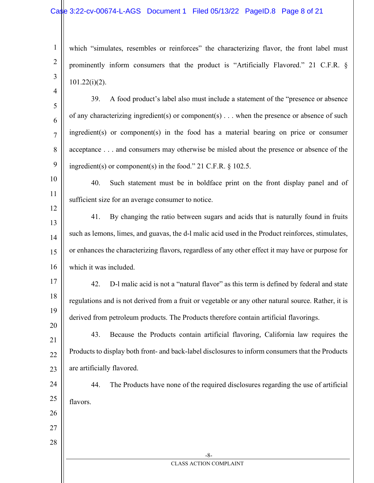## Case 3:22-cv-00674-L-AGS Document 1 Filed 05/13/22 PageID.8 Page 8 of 21

which "simulates, resembles or reinforces" the characterizing flavor, the front label must prominently inform consumers that the product is "Artificially Flavored." 21 C.F.R. § 101.22(i)(2).

5

6

7

8

9

12

17

18

19

20

4

1

2

3

39. A food product's label also must include a statement of the "presence or absence of any characterizing ingredient(s) or component(s)  $\dots$  when the presence or absence of such ingredient(s) or component(s) in the food has a material bearing on price or consumer acceptance . . . and consumers may otherwise be misled about the presence or absence of the ingredient(s) or component(s) in the food." 21 C.F.R. § 102.5.

10 11 40. Such statement must be in boldface print on the front display panel and of sufficient size for an average consumer to notice.

13 14 15 16 41. By changing the ratio between sugars and acids that is naturally found in fruits such as lemons, limes, and guavas, the d-l malic acid used in the Product reinforces, stimulates, or enhances the characterizing flavors, regardless of any other effect it may have or purpose for which it was included.

42. D-l malic acid is not a "natural flavor" as this term is defined by federal and state regulations and is not derived from a fruit or vegetable or any other natural source. Rather, it is derived from petroleum products. The Products therefore contain artificial flavorings.

21 22 23 43. Because the Products contain artificial flavoring, California law requires the Products to display both front- and back-label disclosures to inform consumers that the Products are artificially flavored.

24 25

44. The Products have none of the required disclosures regarding the use of artificial flavors.

27 28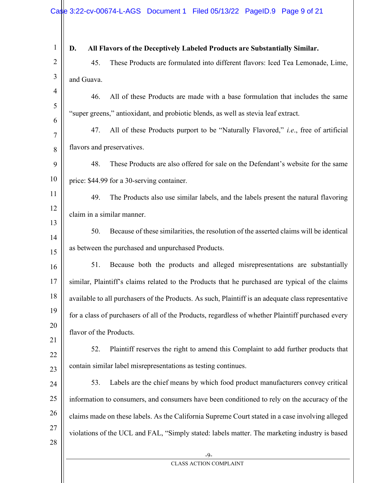| $\mathbf{1}$   | All Flavors of the Deceptively Labeled Products are Substantially Similar.<br>D.                    |
|----------------|-----------------------------------------------------------------------------------------------------|
| $\overline{2}$ | 45.<br>These Products are formulated into different flavors: Iced Tea Lemonade, Lime,               |
| 3              | and Guava.                                                                                          |
| $\overline{4}$ | All of these Products are made with a base formulation that includes the same<br>46.                |
| 5              | "super greens," antioxidant, and probiotic blends, as well as stevia leaf extract.                  |
| 6<br>7         | All of these Products purport to be "Naturally Flavored," <i>i.e.</i> , free of artificial<br>47.   |
| 8              | flavors and preservatives.                                                                          |
| 9              | These Products are also offered for sale on the Defendant's website for the same<br>48.             |
| 10             | price: \$44.99 for a 30-serving container.                                                          |
| 11             | 49.<br>The Products also use similar labels, and the labels present the natural flavoring           |
| 12             | claim in a similar manner.                                                                          |
| 13             | Because of these similarities, the resolution of the asserted claims will be identical<br>50.       |
| 14<br>15       | as between the purchased and unpurchased Products.                                                  |
| 16             | 51.<br>Because both the products and alleged misrepresentations are substantially                   |
| 17             | similar, Plaintiff's claims related to the Products that he purchased are typical of the claims     |
| 18             | available to all purchasers of the Products. As such, Plaintiff is an adequate class representative |
| 19             | for a class of purchasers of all of the Products, regardless of whether Plaintiff purchased every   |
| 20             | flavor of the Products.                                                                             |
| 21             | Plaintiff reserves the right to amend this Complaint to add further products that<br>52.            |
| 22<br>23       | contain similar label misrepresentations as testing continues.                                      |
| 24             | Labels are the chief means by which food product manufacturers convey critical<br>53.               |
| 25             | information to consumers, and consumers have been conditioned to rely on the accuracy of the        |
| 26             | claims made on these labels. As the California Supreme Court stated in a case involving alleged     |
| 27             | violations of the UCL and FAL, "Simply stated: labels matter. The marketing industry is based       |
| 28             |                                                                                                     |
|                | $-9-$<br><b>CLASS ACTION COMPLAINT</b>                                                              |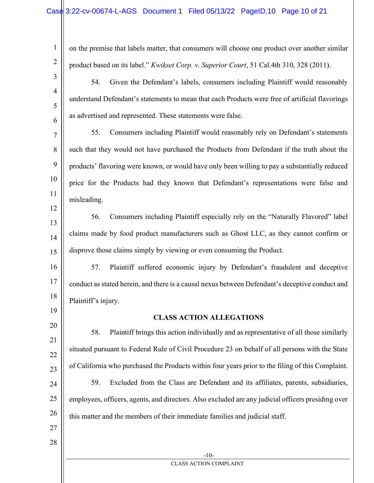on the premise that labels matter, that consumers will choose one product over another similar product based on its label." Kwikset Corp. v. Superior Court, 51 Cal.4th 310, 328 (2011).

54. Given the Defendant's labels, consumers including Plaintiff would reasonably understand Defendant's statements to mean that each Products were free of artificial flavorings as advertised and represented. These statements were false.

7 8 9 10 11 55. Consumers including Plaintiff would reasonably rely on Defendant's statements such that they would not have purchased the Products from Defendant if the truth about the products' flavoring were known, or would have only been willing to pay a substantially reduced price for the Products had they known that Defendant's representations were false and misleading.

56. Consumers including Plaintiff especially rely on the "Naturally Flavored" label claims made by food product manufacturers such as Ghost LLC, as they cannot confirm or disprove those claims simply by viewing or even consuming the Product.

57. Plaintiff suffered economic injury by Defendant's fraudulent and deceptive conduct as stated herein, and there is a causal nexus between Defendant's deceptive conduct and Plaintiff's injury.

19 20

21

22

23

24

25

1

2

3

4

5

6

12

13

14

15

16

17

18

### CLASS ACTION ALLEGATIONS

58. Plaintiff brings this action individually and as representative of all those similarly situated pursuant to Federal Rule of Civil Procedure 23 on behalf of all persons with the State of California who purchased the Products within four years prior to the filing of this Complaint. 59. Excluded from the Class are Defendant and its affiliates, parents, subsidiaries, employees, officers, agents, and directors. Also excluded are any judicial officers presiding over

> -10- CLASS ACTION COMPLAINT

26 this matter and the members of their immediate families and judicial staff.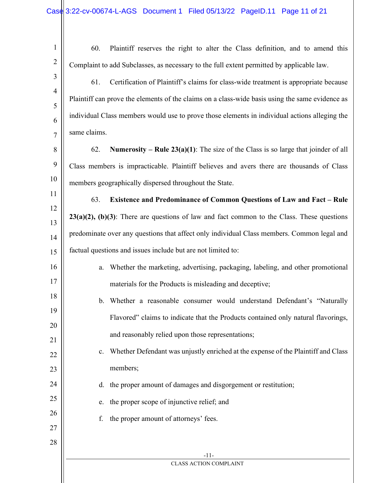| $\mathbf{1}$   | 60.<br>Plaintiff reserves the right to alter the Class definition, and to amend this                |
|----------------|-----------------------------------------------------------------------------------------------------|
| $\overline{2}$ | Complaint to add Subclasses, as necessary to the full extent permitted by applicable law.           |
| 3              | Certification of Plaintiff's claims for class-wide treatment is appropriate because<br>61.          |
| $\overline{4}$ | Plaintiff can prove the elements of the claims on a class-wide basis using the same evidence as     |
| 5<br>6         | individual Class members would use to prove those elements in individual actions alleging the       |
| $\overline{7}$ | same claims.                                                                                        |
| 8              | <b>Numerosity</b> – Rule $23(a)(1)$ : The size of the Class is so large that joinder of all<br>62.  |
| 9              | Class members is impracticable. Plaintiff believes and avers there are thousands of Class           |
| 10             | members geographically dispersed throughout the State.                                              |
| 11             | 63.<br><b>Existence and Predominance of Common Questions of Law and Fact - Rule</b>                 |
| 12             | $23(a)(2)$ , $(b)(3)$ : There are questions of law and fact common to the Class. These questions    |
| 13<br>14       | predominate over any questions that affect only individual Class members. Common legal and          |
| 15             | factual questions and issues include but are not limited to:                                        |
| 16             | Whether the marketing, advertising, packaging, labeling, and other promotional<br>a.                |
| 17             | materials for the Products is misleading and deceptive;                                             |
| 18             | Whether a reasonable consumer would understand Defendant's "Naturally<br>$\mathbf{b}$ .             |
| 19             | Flavored" claims to indicate that the Products contained only natural flavorings,                   |
| 20             | and reasonably relied upon those representations;                                                   |
| 21             | Whether Defendant was unjustly enriched at the expense of the Plaintiff and Class<br>$\mathbf{c}$ . |
| 22<br>23       | members;                                                                                            |
| 24             | the proper amount of damages and disgorgement or restitution;<br>d.                                 |
| 25             | the proper scope of injunctive relief; and<br>e.                                                    |
| 26             | the proper amount of attorneys' fees.<br>f.                                                         |
| 27             |                                                                                                     |
| 28             |                                                                                                     |
|                | $-11-$<br><b>CLASS ACTION COMPLAINT</b>                                                             |
|                |                                                                                                     |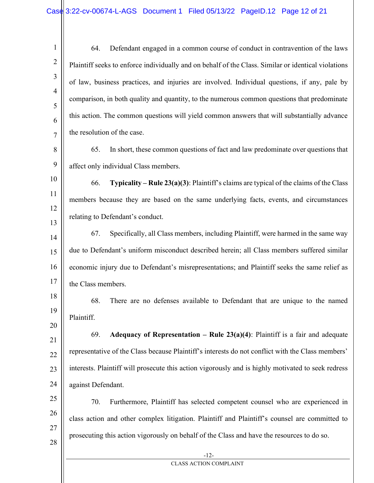1 2 3 4 5 6 7 64. Defendant engaged in a common course of conduct in contravention of the laws Plaintiff seeks to enforce individually and on behalf of the Class. Similar or identical violations of law, business practices, and injuries are involved. Individual questions, if any, pale by comparison, in both quality and quantity, to the numerous common questions that predominate this action. The common questions will yield common answers that will substantially advance the resolution of the case.

8 9 65. In short, these common questions of fact and law predominate over questions that affect only individual Class members.

10

11

12

- 66. Typicality Rule 23(a)(3): Plaintiff's claims are typical of the claims of the Class members because they are based on the same underlying facts, events, and circumstances relating to Defendant's conduct.
- 14 15 16 17 67. Specifically, all Class members, including Plaintiff, were harmed in the same way due to Defendant's uniform misconduct described herein; all Class members suffered similar economic injury due to Defendant's misrepresentations; and Plaintiff seeks the same relief as the Class members.
- 18 19 20 68. There are no defenses available to Defendant that are unique to the named Plaintiff.
- 21 22 23 24 69. Adequacy of Representation – Rule  $23(a)(4)$ : Plaintiff is a fair and adequate representative of the Class because Plaintiff's interests do not conflict with the Class members' interests. Plaintiff will prosecute this action vigorously and is highly motivated to seek redress against Defendant.
- 25 26 27 28 70. Furthermore, Plaintiff has selected competent counsel who are experienced in class action and other complex litigation. Plaintiff and Plaintiff's counsel are committed to prosecuting this action vigorously on behalf of the Class and have the resources to do so.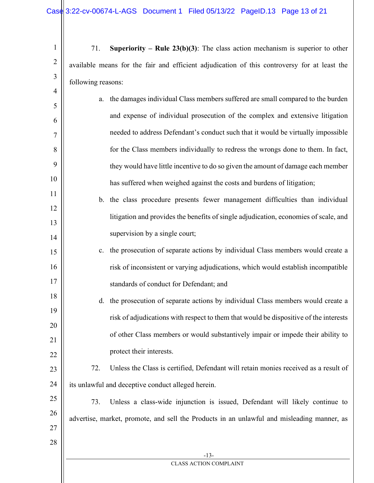71. Superiority – Rule  $23(b)(3)$ : The class action mechanism is superior to other available means for the fair and efficient adjudication of this controversy for at least the following reasons:

- a. the damages individual Class members suffered are small compared to the burden and expense of individual prosecution of the complex and extensive litigation needed to address Defendant's conduct such that it would be virtually impossible for the Class members individually to redress the wrongs done to them. In fact, they would have little incentive to do so given the amount of damage each member has suffered when weighed against the costs and burdens of litigation;
- b. the class procedure presents fewer management difficulties than individual litigation and provides the benefits of single adjudication, economies of scale, and supervision by a single court;
- c. the prosecution of separate actions by individual Class members would create a risk of inconsistent or varying adjudications, which would establish incompatible standards of conduct for Defendant; and
- d. the prosecution of separate actions by individual Class members would create a risk of adjudications with respect to them that would be dispositive of the interests of other Class members or would substantively impair or impede their ability to protect their interests.
- 23 24 72. Unless the Class is certified, Defendant will retain monies received as a result of its unlawful and deceptive conduct alleged herein.
- 25 26 27 73. Unless a class-wide injunction is issued, Defendant will likely continue to advertise, market, promote, and sell the Products in an unlawful and misleading manner, as

1

2

3

4

5

6

7

8

9

10

11

12

13

14

15

16

17

18

19

20

21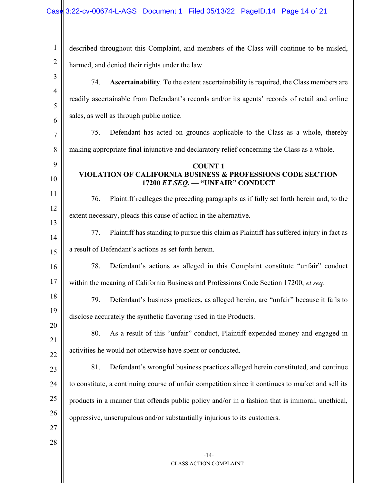| $\mathbf{1}$   | described throughout this Complaint, and members of the Class will continue to be misled,          |
|----------------|----------------------------------------------------------------------------------------------------|
| $\overline{2}$ | harmed, and denied their rights under the law.                                                     |
| 3              | Ascertainability. To the extent ascertainability is required, the Class members are<br>74.         |
| $\overline{4}$ | readily ascertainable from Defendant's records and/or its agents' records of retail and online     |
| 5              | sales, as well as through public notice.                                                           |
| 6<br>7         | 75.<br>Defendant has acted on grounds applicable to the Class as a whole, thereby                  |
| 8              | making appropriate final injunctive and declaratory relief concerning the Class as a whole.        |
| 9              | <b>COUNT1</b>                                                                                      |
| 10             | VIOLATION OF CALIFORNIA BUSINESS & PROFESSIONS CODE SECTION<br>17200 ET SEQ. - "UNFAIR" CONDUCT    |
| 11             | Plaintiff realleges the preceding paragraphs as if fully set forth herein and, to the<br>76.       |
| 12             | extent necessary, pleads this cause of action in the alternative.                                  |
| 13<br>14       | 77.<br>Plaintiff has standing to pursue this claim as Plaintiff has suffered injury in fact as     |
| 15             | a result of Defendant's actions as set forth herein.                                               |
| 16             | Defendant's actions as alleged in this Complaint constitute "unfair" conduct<br>78.                |
| 17             | within the meaning of California Business and Professions Code Section 17200, et seq.              |
| 18             | Defendant's business practices, as alleged herein, are "unfair" because it fails to<br>79.         |
| 19             | disclose accurately the synthetic flavoring used in the Products.                                  |
| 20             | As a result of this "unfair" conduct, Plaintiff expended money and engaged in<br>80.               |
| 21<br>22       | activities he would not otherwise have spent or conducted.                                         |
| 23             | 81.<br>Defendant's wrongful business practices alleged herein constituted, and continue            |
| 24             | to constitute, a continuing course of unfair competition since it continues to market and sell its |
| 25             | products in a manner that offends public policy and/or in a fashion that is immoral, unethical,    |
| 26             | oppressive, unscrupulous and/or substantially injurious to its customers.                          |
| 27             |                                                                                                    |
| 28             |                                                                                                    |
|                | $-14-$                                                                                             |
|                | <b>CLASS ACTION COMPLAINT</b>                                                                      |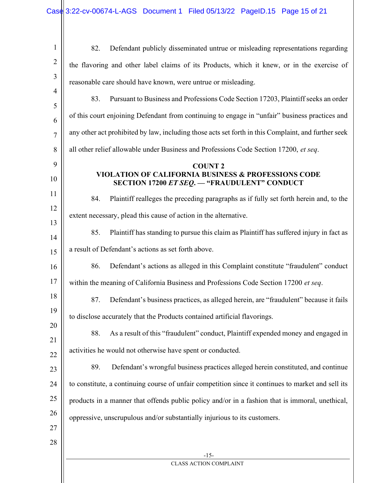| $\mathbf{1}$   | Defendant publicly disseminated untrue or misleading representations regarding<br>82.               |
|----------------|-----------------------------------------------------------------------------------------------------|
| $\overline{2}$ | the flavoring and other label claims of its Products, which it knew, or in the exercise of          |
| 3              | reasonable care should have known, were untrue or misleading.                                       |
| $\overline{4}$ | Pursuant to Business and Professions Code Section 17203, Plaintiff seeks an order<br>83.            |
| 5<br>6         | of this court enjoining Defendant from continuing to engage in "unfair" business practices and      |
| $\overline{7}$ | any other act prohibited by law, including those acts set forth in this Complaint, and further seek |
| 8              | all other relief allowable under Business and Professions Code Section 17200, et seq.               |
| 9              | <b>COUNT 2</b>                                                                                      |
| 10             | VIOLATION OF CALIFORNIA BUSINESS & PROFESSIONS CODE<br>SECTION 17200 ET SEQ. - "FRAUDULENT" CONDUCT |
| 11             | Plaintiff realleges the preceding paragraphs as if fully set forth herein and, to the<br>84.        |
| 12             | extent necessary, plead this cause of action in the alternative.                                    |
| 13             | 85.<br>Plaintiff has standing to pursue this claim as Plaintiff has suffered injury in fact as      |
| 14<br>15       | a result of Defendant's actions as set forth above.                                                 |
| 16             | Defendant's actions as alleged in this Complaint constitute "fraudulent" conduct<br>86.             |
| 17             | within the meaning of California Business and Professions Code Section 17200 et seq.                |
| 18             | 87.<br>Defendant's business practices, as alleged herein, are "fraudulent" because it fails         |
| 19             |                                                                                                     |
| 20             | to disclose accurately that the Products contained artificial flavorings.                           |
| 21             | As a result of this "fraudulent" conduct, Plaintiff expended money and engaged in<br>88.            |
| 22             | activities he would not otherwise have spent or conducted.                                          |
| 23             | 89.<br>Defendant's wrongful business practices alleged herein constituted, and continue             |
| 24             | to constitute, a continuing course of unfair competition since it continues to market and sell its  |
| 25             | products in a manner that offends public policy and/or in a fashion that is immoral, unethical,     |
| 26             | oppressive, unscrupulous and/or substantially injurious to its customers.                           |
| 27             |                                                                                                     |
| 28             |                                                                                                     |
|                | $-15-$<br><b>CLASS ACTION COMPLAINT</b>                                                             |
|                |                                                                                                     |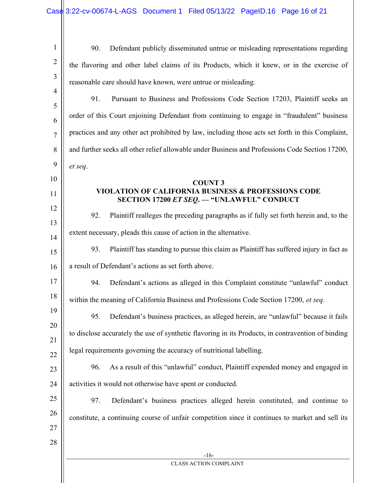| $\mathbf{1}$        | Defendant publicly disseminated untrue or misleading representations regarding<br>90.                        |
|---------------------|--------------------------------------------------------------------------------------------------------------|
| $\overline{2}$      | the flavoring and other label claims of its Products, which it knew, or in the exercise of                   |
| 3                   | reasonable care should have known, were untrue or misleading.                                                |
| $\overline{4}$<br>5 | 91.<br>Pursuant to Business and Professions Code Section 17203, Plaintiff seeks an                           |
| 6                   | order of this Court enjoining Defendant from continuing to engage in "fraudulent" business                   |
| $\overline{7}$      | practices and any other act prohibited by law, including those acts set forth in this Complaint,             |
| 8                   | and further seeks all other relief allowable under Business and Professions Code Section 17200,              |
| 9                   | et seq.                                                                                                      |
| 10                  | <b>COUNT 3</b>                                                                                               |
| 11                  | <b>VIOLATION OF CALIFORNIA BUSINESS &amp; PROFESSIONS CODE</b><br>SECTION 17200 ET SEQ. - "UNLAWFUL" CONDUCT |
| 12                  | Plaintiff realleges the preceding paragraphs as if fully set forth herein and, to the<br>92.                 |
| 13<br>14            | extent necessary, pleads this cause of action in the alternative.                                            |
| 15                  | Plaintiff has standing to pursue this claim as Plaintiff has suffered injury in fact as<br>93.               |
| 16                  | a result of Defendant's actions as set forth above.                                                          |
| 17                  | Defendant's actions as alleged in this Complaint constitute "unlawful" conduct<br>94.                        |
| 18                  | within the meaning of California Business and Professions Code Section 17200, et seq.                        |
| 19                  | Defendant's business practices, as alleged herein, are "unlawful" because it fails<br>95.                    |
| 20                  | to disclose accurately the use of synthetic flavoring in its Products, in contravention of binding           |
| 21                  | legal requirements governing the accuracy of nutritional labelling.                                          |
| 22<br>23            | As a result of this "unlawful" conduct, Plaintiff expended money and engaged in<br>96.                       |
| 24                  | activities it would not otherwise have spent or conducted.                                                   |
| 25                  | 97.<br>Defendant's business practices alleged herein constituted, and continue to                            |
| 26                  | constitute, a continuing course of unfair competition since it continues to market and sell its              |
| 27                  |                                                                                                              |
| 28                  |                                                                                                              |
|                     | $-16-$<br><b>CLASS ACTION COMPLAINT</b>                                                                      |
|                     |                                                                                                              |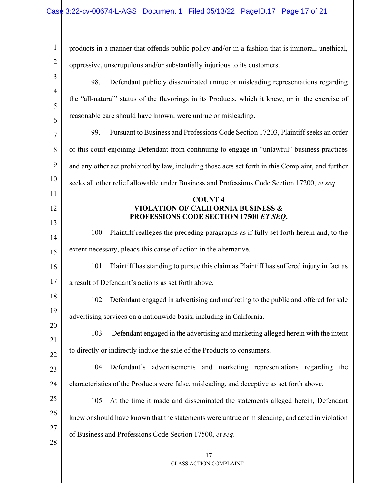| $\mathbf{1}$   | products in a manner that offends public policy and/or in a fashion that is immoral, unethical,    |
|----------------|----------------------------------------------------------------------------------------------------|
| $\overline{2}$ | oppressive, unscrupulous and/or substantially injurious to its customers.                          |
| 3              | Defendant publicly disseminated untrue or misleading representations regarding<br>98.              |
| $\overline{4}$ | the "all-natural" status of the flavorings in its Products, which it knew, or in the exercise of   |
| 5              | reasonable care should have known, were untrue or misleading.                                      |
| 6<br>7         | 99.<br>Pursuant to Business and Professions Code Section 17203, Plaintiff seeks an order           |
| 8              | of this court enjoining Defendant from continuing to engage in "unlawful" business practices       |
| 9              | and any other act prohibited by law, including those acts set forth in this Complaint, and further |
| 10             | seeks all other relief allowable under Business and Professions Code Section 17200, et seq.        |
| 11             |                                                                                                    |
| 12             | <b>COUNT4</b><br><b>VIOLATION OF CALIFORNIA BUSINESS &amp;</b>                                     |
|                | PROFESSIONS CODE SECTION 17500 ET SEQ.                                                             |
| 13<br>14       | 100. Plaintiff realleges the preceding paragraphs as if fully set forth herein and, to the         |
| 15             | extent necessary, pleads this cause of action in the alternative.                                  |
| 16             | 101. Plaintiff has standing to pursue this claim as Plaintiff has suffered injury in fact as       |
| 17             | a result of Defendant's actions as set forth above.                                                |
| 18             | 102. Defendant engaged in advertising and marketing to the public and offered for sale             |
| 19             | advertising services on a nationwide basis, including in California.                               |
| 20             |                                                                                                    |
| 21             | Defendant engaged in the advertising and marketing alleged herein with the intent<br>103.          |
| 22             | to directly or indirectly induce the sale of the Products to consumers.                            |
| 23             | 104. Defendant's advertisements and marketing representations regarding the                        |
| 24             | characteristics of the Products were false, misleading, and deceptive as set forth above.          |
| 25             | 105. At the time it made and disseminated the statements alleged herein, Defendant                 |
| 26             | knew or should have known that the statements were untrue or misleading, and acted in violation    |
| 27             | of Business and Professions Code Section 17500, et seq.                                            |
| 28             |                                                                                                    |
|                | $-17-$<br><b>CLASS ACTION COMPLAINT</b>                                                            |
|                |                                                                                                    |
|                |                                                                                                    |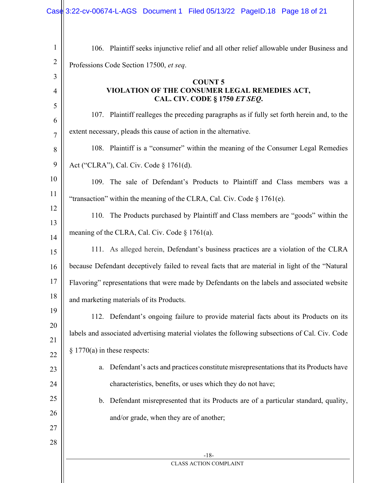| $\mathbf{1}$   | 106. Plaintiff seeks injunctive relief and all other relief allowable under Business and        |
|----------------|-------------------------------------------------------------------------------------------------|
| $\overline{2}$ | Professions Code Section 17500, et seq.                                                         |
| 3              | <b>COUNT 5</b>                                                                                  |
| $\overline{4}$ | VIOLATION OF THE CONSUMER LEGAL REMEDIES ACT,                                                   |
| 5              | CAL. CIV. CODE § 1750 ET SEQ.                                                                   |
| 6              | 107. Plaintiff realleges the preceding paragraphs as if fully set forth herein and, to the      |
| $\overline{7}$ | extent necessary, pleads this cause of action in the alternative.                               |
| 8              | 108. Plaintiff is a "consumer" within the meaning of the Consumer Legal Remedies                |
| 9              | Act ("CLRA"), Cal. Civ. Code § 1761(d).                                                         |
| 10             | 109. The sale of Defendant's Products to Plaintiff and Class members was a                      |
| 11             | "transaction" within the meaning of the CLRA, Cal. Civ. Code $\S 1761(e)$ .                     |
| 12             | 110. The Products purchased by Plaintiff and Class members are "goods" within the               |
| 13<br>14       | meaning of the CLRA, Cal. Civ. Code $\S 1761(a)$ .                                              |
| 15             | 111. As alleged herein, Defendant's business practices are a violation of the CLRA              |
| 16             | because Defendant deceptively failed to reveal facts that are material in light of the "Natural |
| 17             | Flavoring" representations that were made by Defendants on the labels and associated website    |
| 18             | and marketing materials of its Products.                                                        |
| 19             | 112. Defendant's ongoing failure to provide material facts about its Products on its            |
| 20             | labels and associated advertising material violates the following subsections of Cal. Civ. Code |
| 21             |                                                                                                 |
| 22             | $\S 1770(a)$ in these respects:                                                                 |
| 23             | Defendant's acts and practices constitute misrepresentations that its Products have<br>a.       |
| 24             | characteristics, benefits, or uses which they do not have;                                      |
| 25             | b. Defendant misrepresented that its Products are of a particular standard, quality,            |
| 26             | and/or grade, when they are of another;                                                         |
| 27             |                                                                                                 |
| 28             |                                                                                                 |
|                | $-18-$                                                                                          |
|                | CLASS ACTION COMPLAINT                                                                          |
|                |                                                                                                 |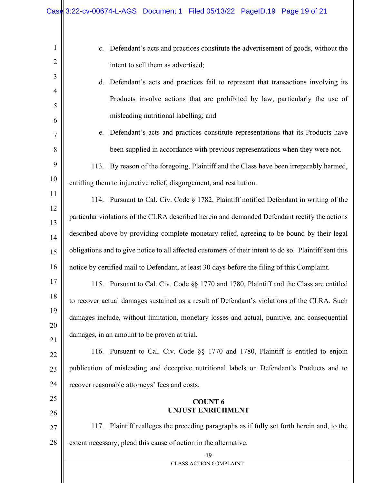| $\mathbf{1}$        | c. Defendant's acts and practices constitute the advertisement of goods, without the                   |  |  |
|---------------------|--------------------------------------------------------------------------------------------------------|--|--|
| $\overline{2}$      | intent to sell them as advertised;                                                                     |  |  |
| 3                   | d. Defendant's acts and practices fail to represent that transactions involving its                    |  |  |
| $\overline{4}$      | Products involve actions that are prohibited by law, particularly the use of                           |  |  |
| 5                   | misleading nutritional labelling; and                                                                  |  |  |
| 6<br>$\overline{7}$ | e. Defendant's acts and practices constitute representations that its Products have                    |  |  |
| 8                   | been supplied in accordance with previous representations when they were not.                          |  |  |
| 9                   |                                                                                                        |  |  |
| 10                  | 113. By reason of the foregoing, Plaintiff and the Class have been irreparably harmed,                 |  |  |
|                     | entitling them to injunctive relief, disgorgement, and restitution.                                    |  |  |
| 11<br>12            | 114. Pursuant to Cal. Civ. Code § 1782, Plaintiff notified Defendant in writing of the                 |  |  |
| 13                  | particular violations of the CLRA described herein and demanded Defendant rectify the actions          |  |  |
| 14                  | described above by providing complete monetary relief, agreeing to be bound by their legal             |  |  |
| 15                  | obligations and to give notice to all affected customers of their intent to do so. Plaintiff sent this |  |  |
| 16                  | notice by certified mail to Defendant, at least 30 days before the filing of this Complaint.           |  |  |
| 17                  | 115. Pursuant to Cal. Civ. Code §§ 1770 and 1780, Plaintiff and the Class are entitled                 |  |  |
| 18                  | to recover actual damages sustained as a result of Defendant's violations of the CLRA. Such            |  |  |
| 19                  | damages include, without limitation, monetary losses and actual, punitive, and consequential           |  |  |
| 20                  | damages, in an amount to be proven at trial.                                                           |  |  |
| 21                  |                                                                                                        |  |  |
| 22                  | 116. Pursuant to Cal. Civ. Code §§ 1770 and 1780, Plaintiff is entitled to enjoin                      |  |  |
| 23                  | publication of misleading and deceptive nutritional labels on Defendant's Products and to              |  |  |
| 24                  | recover reasonable attorneys' fees and costs.                                                          |  |  |
| 25                  | <b>COUNT 6</b>                                                                                         |  |  |
| 26                  | <b>UNJUST ENRICHMENT</b>                                                                               |  |  |
| 27                  | 117. Plaintiff realleges the preceding paragraphs as if fully set forth herein and, to the             |  |  |
| 28                  | extent necessary, plead this cause of action in the alternative.                                       |  |  |
|                     | $-19-$                                                                                                 |  |  |
|                     | <b>CLASS ACTION COMPLAINT</b>                                                                          |  |  |
|                     |                                                                                                        |  |  |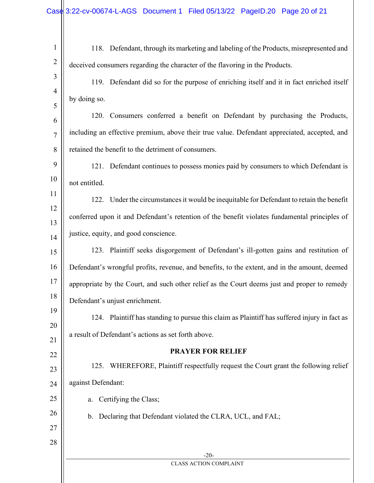| $\mathbf{1}$   | 118. Defendant, through its marketing and labeling of the Products, misrepresented and        |
|----------------|-----------------------------------------------------------------------------------------------|
| $\overline{2}$ | deceived consumers regarding the character of the flavoring in the Products.                  |
| 3              | 119. Defendant did so for the purpose of enriching itself and it in fact enriched itself      |
| $\overline{4}$ | by doing so.                                                                                  |
| 5              | 120. Consumers conferred a benefit on Defendant by purchasing the Products,                   |
| 6              | including an effective premium, above their true value. Defendant appreciated, accepted, and  |
| 7              | retained the benefit to the detriment of consumers.                                           |
| 8<br>9         |                                                                                               |
| 10             | 121. Defendant continues to possess monies paid by consumers to which Defendant is            |
| 11             | not entitled.                                                                                 |
| 12             | 122. Under the circumstances it would be inequitable for Defendant to retain the benefit      |
| 13             | conferred upon it and Defendant's retention of the benefit violates fundamental principles of |
| 14             | justice, equity, and good conscience.                                                         |
| 15             | 123. Plaintiff seeks disgorgement of Defendant's ill-gotten gains and restitution of          |
| 16             | Defendant's wrongful profits, revenue, and benefits, to the extent, and in the amount, deemed |
| 17             | appropriate by the Court, and such other relief as the Court deems just and proper to remedy  |
| 18             | Defendant's unjust enrichment.                                                                |
| 19             | 124. Plaintiff has standing to pursue this claim as Plaintiff has suffered injury in fact as  |
| 20             | a result of Defendant's actions as set forth above.                                           |
| 21             | <b>PRAYER FOR RELIEF</b>                                                                      |
| 22<br>23       | WHEREFORE, Plaintiff respectfully request the Court grant the following relief<br>125.        |
| 24             | against Defendant:                                                                            |
| 25             | Certifying the Class;<br>a.                                                                   |
| 26             | b. Declaring that Defendant violated the CLRA, UCL, and FAL;                                  |
| 27             |                                                                                               |
| 28             |                                                                                               |
|                | $-20-$                                                                                        |
|                | <b>CLASS ACTION COMPLAINT</b>                                                                 |